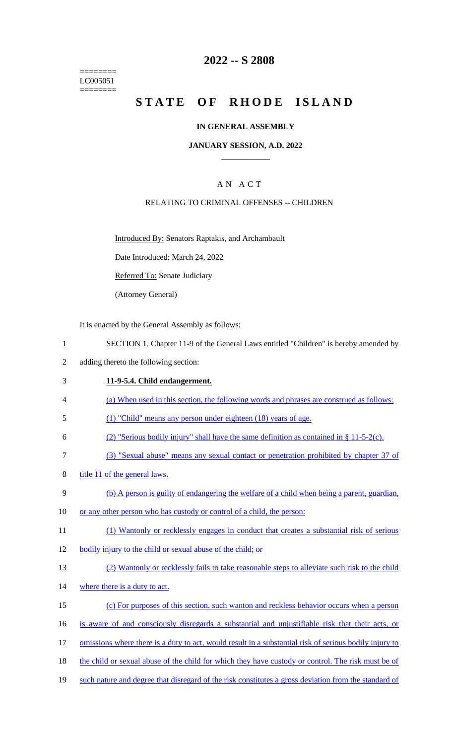======== LC005051 ========

## **2022 -- S 2808**

# **STATE OF RHODE ISLAND**

#### **IN GENERAL ASSEMBLY**

#### **JANUARY SESSION, A.D. 2022 \_\_\_\_\_\_\_\_\_\_\_\_**

## A N A C T

#### RELATING TO CRIMINAL OFFENSES -- CHILDREN

Introduced By: Senators Raptakis, and Archambault

Date Introduced: March 24, 2022

Referred To: Senate Judiciary

(Attorney General)

It is enacted by the General Assembly as follows:

- 1 SECTION 1. Chapter 11-9 of the General Laws entitled "Children" is hereby amended by
- 2 adding thereto the following section:

#### 3 **11-9-5.4. Child endangerment.**

- 4 (a) When used in this section, the following words and phrases are construed as follows:
- 5 (1) "Child" means any person under eighteen (18) years of age.
- 6 (2) "Serious bodily injury" shall have the same definition as contained in  $\S 11-5-2(c)$ .
- 7 (3) "Sexual abuse" means any sexual contact or penetration prohibited by chapter 37 of
- 8 title 11 of the general laws.
- 9 (b) A person is guilty of endangering the welfare of a child when being a parent, guardian,
- 10 or any other person who has custody or control of a child, the person:
- 11 (1) Wantonly or recklessly engages in conduct that creates a substantial risk of serious
- 12 bodily injury to the child or sexual abuse of the child; or
- 13 (2) Wantonly or recklessly fails to take reasonable steps to alleviate such risk to the child
- 14 where there is a duty to act.
- 15 (c) For purposes of this section, such wanton and reckless behavior occurs when a person 16 is aware of and consciously disregards a substantial and unjustifiable risk that their acts, or 17 omissions where there is a duty to act, would result in a substantial risk of serious bodily injury to 18 the child or sexual abuse of the child for which they have custody or control. The risk must be of
- 19 such nature and degree that disregard of the risk constitutes a gross deviation from the standard of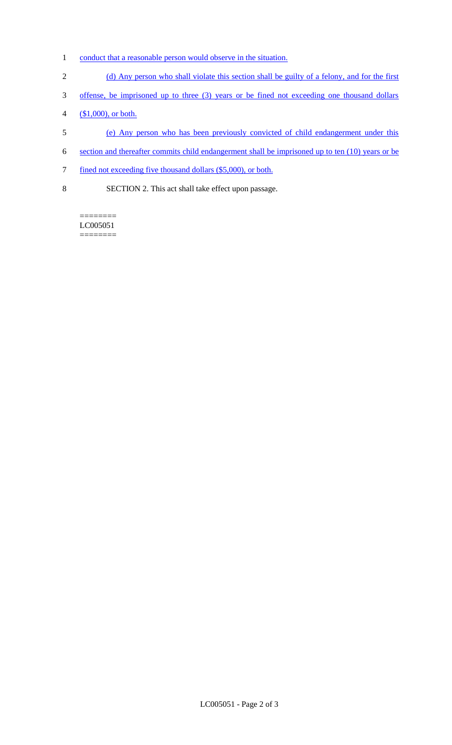- 1 conduct that a reasonable person would observe in the situation.
- 2 (d) Any person who shall violate this section shall be guilty of a felony, and for the first
- 3 offense, be imprisoned up to three (3) years or be fined not exceeding one thousand dollars
- 4 (\$1,000), or both.
- 5 (e) Any person who has been previously convicted of child endangerment under this
- 6 section and thereafter commits child endangerment shall be imprisoned up to ten (10) years or be
- 7 fined not exceeding five thousand dollars (\$5,000), or both.
- 8 SECTION 2. This act shall take effect upon passage.

======== LC005051 ========